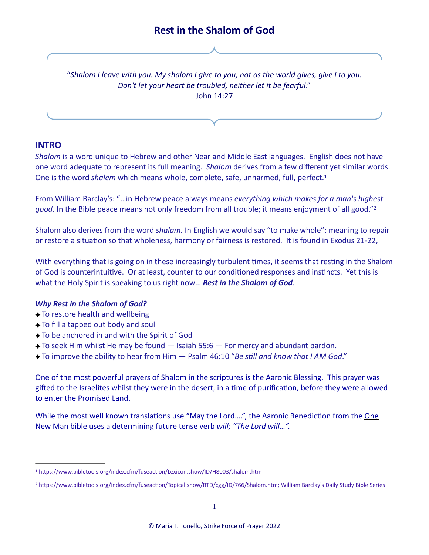# <span id="page-0-3"></span><span id="page-0-2"></span>"*Shalom I leave with you. My shalom I give to you; not as the world gives, give I to you. Don't let your heart be troubled, neither let it be fearful*." John 14:27

# **INTRO**

*Shalom* is a word unique to Hebrew and other Near and Middle East languages. English does not have one word adequate to represent its full meaning. *Shalom* derives from a few different yet similar words. One is the word *shalem* which means whole, complete, safe, unharmed, full, perfect. [1](#page-0-0)

From William Barclay's: "…in Hebrew peace always means *everything which makes for a man's highest good.* In the Bible peace means not only freedom from all trouble; it means enjoyment of all good.["2](#page-0-1)

Shalom also derives from the word *shalam.* In English we would say "to make whole"; meaning to repair or restore a situation so that wholeness, harmony or fairness is restored. It is found in Exodus 21-22,

With everything that is going on in these increasingly turbulent times, it seems that resting in the Shalom of God is counterintuitive. Or at least, counter to our conditioned responses and instincts. Yet this is what the Holy Spirit is speaking to us right now… *Rest in the Shalom of God*.

## *Why Rest in the Shalom of God?*

- $\rightarrow$  To restore health and wellbeing
- $\rightarrow$  To fill a tapped out body and soul
- To be anchored in and with the Spirit of God
- $\triangle$  To seek Him whilst He may be found  $-$  Isaiah 55:6  $-$  For mercy and abundant pardon.
- To improve the ability to hear from Him Psalm 46:10 "*Be still and know that I AM God*."

One of the most powerful prayers of Shalom in the scriptures is the Aaronic Blessing. This prayer was gifted to the Israelites whilst they were in the desert, in a time of purification, before they were allowed to enter the Promised Land.

While the most well known translations use "May the Lord....", the Aaronic Benediction from the One New Man bible uses a determining future tense verb *will; "The Lord will…".* 

<span id="page-0-0"></span>[<sup>1</sup>](#page-0-2) https://www.bibletools.org/index.cfm/fuseaction/Lexicon.show/ID/H8003/shalem.htm

<span id="page-0-1"></span>https://www.bibletools.org/index.cfm/fuseaction/Topical.show/RTD/cgg/ID/766/Shalom.htm; William Barclay's Daily Study Bible Series [2](#page-0-3)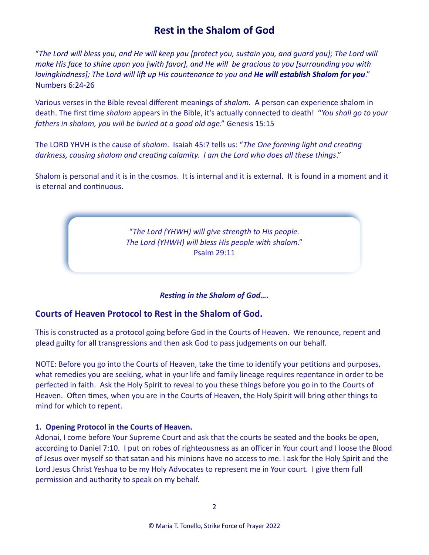"*The Lord will bless you, and He will keep you [protect you, sustain you, and guard you]; The Lord will make His face to shine upon you [with favor], and He will be gracious to you [surrounding you with lovingkindness]; The Lord will lift up His countenance to you and He will establish Shalom for you*." Numbers 6:24-26

Various verses in the Bible reveal different meanings of *shalom.* A person can experience shalom in death. The first time *shalom* appears in the Bible, it's actually connected to death! "*You shall go to your fathers in shalom, you will be buried at a good old age*." Genesis 15:15

The LORD YHVH is the cause of *shalom*. Isaiah 45:7 tells us: "*The One forming light and creating darkness, causing shalom and creating calamity. I am the Lord who does all these things*."

Shalom is personal and it is in the cosmos. It is internal and it is external. It is found in a moment and it is eternal and continuous.

> "*The Lord (YHWH) will give strength to His people. The Lord (YHWH) will bless His people with shalom*." Psalm 29:11

## *Resting in the Shalom of God….*

# **Courts of Heaven Protocol to Rest in the Shalom of God.**

This is constructed as a protocol going before God in the Courts of Heaven. We renounce, repent and plead guilty for all transgressions and then ask God to pass judgements on our behalf.

NOTE: Before you go into the Courts of Heaven, take the time to identify your petitions and purposes, what remedies you are seeking, what in your life and family lineage requires repentance in order to be perfected in faith. Ask the Holy Spirit to reveal to you these things before you go in to the Courts of Heaven. Often times, when you are in the Courts of Heaven, the Holy Spirit will bring other things to mind for which to repent.

## **1. Opening Protocol in the Courts of Heaven.**

Adonai, I come before Your Supreme Court and ask that the courts be seated and the books be open, according to Daniel 7:10. I put on robes of righteousness as an officer in Your court and I loose the Blood of Jesus over myself so that satan and his minions have no access to me. I ask for the Holy Spirit and the Lord Jesus Christ Yeshua to be my Holy Advocates to represent me in Your court. I give them full permission and authority to speak on my behalf.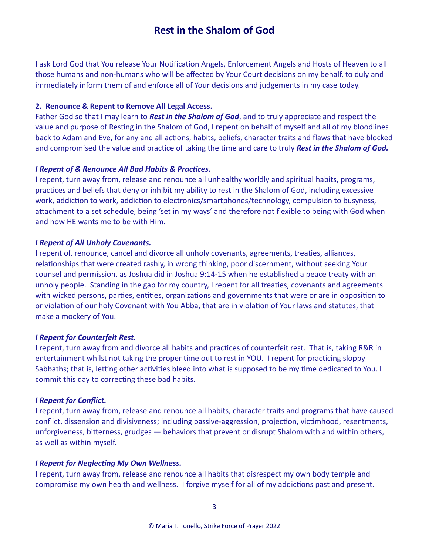I ask Lord God that You release Your Notification Angels, Enforcement Angels and Hosts of Heaven to all those humans and non-humans who will be affected by Your Court decisions on my behalf, to duly and immediately inform them of and enforce all of Your decisions and judgements in my case today.

#### **2. Renounce & Repent to Remove All Legal Access.**

Father God so that I may learn to *Rest in the Shalom of God*, and to truly appreciate and respect the value and purpose of Resting in the Shalom of God, I repent on behalf of myself and all of my bloodlines back to Adam and Eve, for any and all actions, habits, beliefs, character traits and flaws that have blocked and compromised the value and practice of taking the time and care to truly *Rest in the Shalom of God.*

#### *I Repent of & Renounce All Bad Habits & Practices.*

I repent, turn away from, release and renounce all unhealthy worldly and spiritual habits, programs, practices and beliefs that deny or inhibit my ability to rest in the Shalom of God, including excessive work, addiction to work, addiction to electronics/smartphones/technology, compulsion to busyness, attachment to a set schedule, being 'set in my ways' and therefore not flexible to being with God when and how HE wants me to be with Him.

#### *I Repent of All Unholy Covenants.*

I repent of, renounce, cancel and divorce all unholy covenants, agreements, treaties, alliances, relationships that were created rashly, in wrong thinking, poor discernment, without seeking Your counsel and permission, as Joshua did in Joshua 9:14-15 when he established a peace treaty with an unholy people. Standing in the gap for my country, I repent for all treaties, covenants and agreements with wicked persons, parties, entities, organizations and governments that were or are in opposition to or violation of our holy Covenant with You Abba, that are in violation of Your laws and statutes, that make a mockery of You.

## *I Repent for Counterfeit Rest.*

I repent, turn away from and divorce all habits and practices of counterfeit rest. That is, taking R&R in entertainment whilst not taking the proper time out to rest in YOU. I repent for practicing sloppy Sabbaths; that is, letting other activities bleed into what is supposed to be my time dedicated to You. I commit this day to correcting these bad habits.

#### *I Repent for Conflict.*

I repent, turn away from, release and renounce all habits, character traits and programs that have caused conflict, dissension and divisiveness; including passive-aggression, projection, victimhood, resentments, unforgiveness, bitterness, grudges — behaviors that prevent or disrupt Shalom with and within others, as well as within myself.

#### *I Repent for Neglecting My Own Wellness.*

I repent, turn away from, release and renounce all habits that disrespect my own body temple and compromise my own health and wellness. I forgive myself for all of my addictions past and present.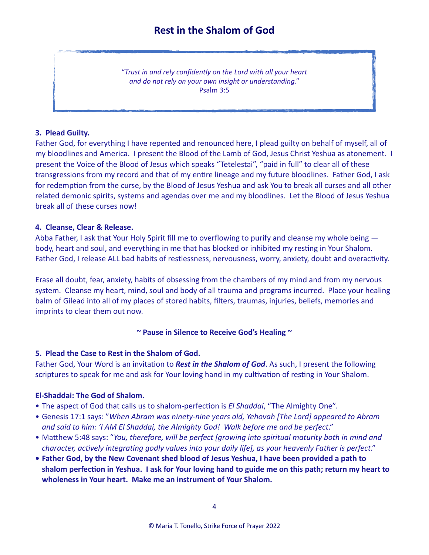"*Trust in and rely confidently on the Lord with all your heart and do not rely on your own insight or understanding*." Psalm 3:5

# **3. Plead Guilty.**

Father God, for everything I have repented and renounced here, I plead guilty on behalf of myself, all of my bloodlines and America. I present the Blood of the Lamb of God, Jesus Christ Yeshua as atonement. I present the Voice of the Blood of Jesus which speaks "Tetelestai", "paid in full" to clear all of these transgressions from my record and that of my entire lineage and my future bloodlines. Father God, I ask for redemption from the curse, by the Blood of Jesus Yeshua and ask You to break all curses and all other related demonic spirits, systems and agendas over me and my bloodlines. Let the Blood of Jesus Yeshua break all of these curses now!

## **4. Cleanse, Clear & Release.**

Abba Father, I ask that Your Holy Spirit fill me to overflowing to purify and cleanse my whole being body, heart and soul, and everything in me that has blocked or inhibited my resting in Your Shalom. Father God, I release ALL bad habits of restlessness, nervousness, worry, anxiety, doubt and overactivity.

Erase all doubt, fear, anxiety, habits of obsessing from the chambers of my mind and from my nervous system. Cleanse my heart, mind, soul and body of all trauma and programs incurred. Place your healing balm of Gilead into all of my places of stored habits, filters, traumas, injuries, beliefs, memories and imprints to clear them out now.

## **~ Pause in Silence to Receive God's Healing ~**

## **5. Plead the Case to Rest in the Shalom of God.**

Father God, Your Word is an invitation to *Rest in the Shalom of God*. As such, I present the following scriptures to speak for me and ask for Your loving hand in my cultivation of resting in Your Shalom.

# **El-Shaddai: The God of Shalom.**

- The aspect of God that calls us to shalom-perfection is *El Shaddai*, "The Almighty One".
- Genesis 17:1 says: "*When Abram was ninety-nine years old, Yehovah [The Lord] appeared to Abram and said to him: 'I AM El Shaddai, the Almighty God! Walk before me and be perfect*."
- Matthew 5:48 says: "*You, therefore, will be perfect [growing into spiritual maturity both in mind and character, actively integrating godly values into your daily life], as your heavenly Father is perfect*."
- **• Father God, by the New Covenant shed blood of Jesus Yeshua, I have been provided a path to shalom perfection in Yeshua. I ask for Your loving hand to guide me on this path; return my heart to wholeness in Your heart. Make me an instrument of Your Shalom.**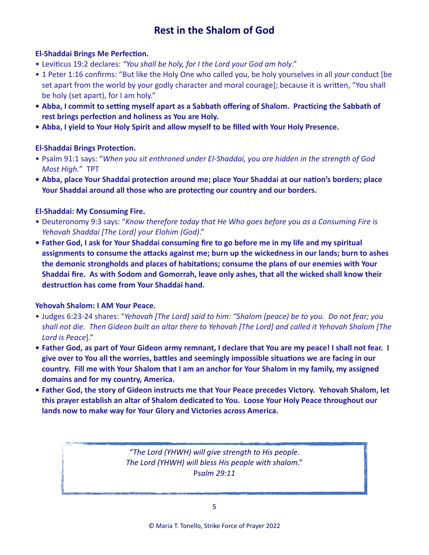# **El-Shaddai Brings Me Perfection.**

- Leviticus 19:2 declares: *"You shall be holy, for I the Lord your God am holy*."
- 1 Peter 1:16 confirms: "But like the Holy One who called you, be holy yourselves in all *your* conduct [be set apart from the world by your godly character and moral courage]; because it is written, "You shall be holy (set apart), for I am holy."
- **• Abba, I commit to setting myself apart as a Sabbath offering of Shalom. Practicing the Sabbath of rest brings perfection and holiness as You are Holy.**
- **• Abba, I yield to Your Holy Spirit and allow myself to be filled with Your Holy Presence.**

# **El-Shaddai Brings Protection.**

- Psalm 91:1 says: "*When you sit enthroned under El-Shaddai, you are hidden in the strength of God Most High.*" TPT
- **• Abba, place Your Shaddai protection around me; place Your Shaddai at our nation's borders; place Your Shaddai around all those who are protecting our country and our borders.**

# **El-Shaddai: My Consuming Fire.**

- Deuteronomy 9:3 says: "*Know therefore today that He Who goes before you as a Consuming Fire is Yehovah Shaddai [The Lord] your Elohim (God)*."
- **• Father God, I ask for Your Shaddai consuming fire to go before me in my life and my spiritual assignments to consume the attacks against me; burn up the wickedness in our lands; burn to ashes the demonic strongholds and places of habitations; consume the plans of our enemies with Your Shaddai fire. As with Sodom and Gomorrah, leave only ashes, that all the wicked shall know their destruction has come from Your Shaddai hand.**

# **Yehovah Shalom: I AM Your Peace.**

- Judges 6:23-24 shares: "*Yehovah [The Lord] said to him: "Shalom (peace) be to you. Do not fear; you shall not die. Then Gideon built an altar there to Yehovah [The Lord] and called it Yehovah Shalom [The Lord is Peace*]."
- **• Father God, as part of Your Gideon army remnant, I declare that You are my peace! I shall not fear. I give over to You all the worries, battles and seemingly impossible situations we are facing in our country. Fill me with Your Shalom that I am an anchor for Your Shalom in my family, my assigned domains and for my country, America.**
- **• Father God, the story of Gideon instructs me that Your Peace precedes Victory. Yehovah Shalom, let this prayer establish an altar of Shalom dedicated to You. Loose Your Holy Peace throughout our lands now to make way for Your Glory and Victories across America.**

*"The Lord (YHWH) will give strength to His people. The Lord (YHWH) will bless His people with shalom*." P*salm 29:11*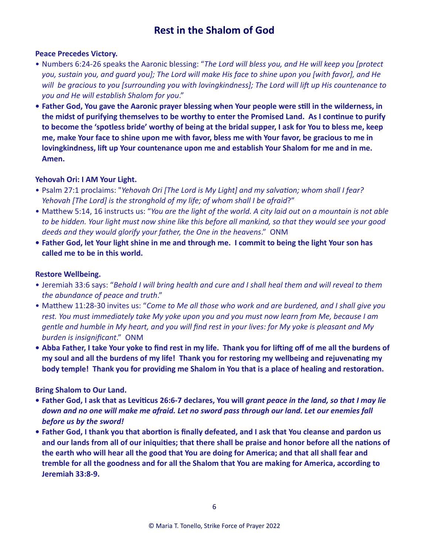## **Peace Precedes Victory.**

- Numbers 6:24-26 speaks the Aaronic blessing: "*The Lord will bless you, and He will keep you [protect you, sustain you, and guard you]; The Lord will make His face to shine upon you [with favor], and He will be gracious to you [surrounding you with lovingkindness]; The Lord will lift up His countenance to you and He will establish Shalom for you*."
- **• Father God, You gave the Aaronic prayer blessing when Your people were still in the wilderness, in the midst of purifying themselves to be worthy to enter the Promised Land. As I continue to purify to become the 'spotless bride' worthy of being at the bridal supper, I ask for You to bless me, keep me, make Your face to shine upon me with favor, bless me with Your favor, be gracious to me in lovingkindness, lift up Your countenance upon me and establish Your Shalom for me and in me. Amen.**

## **Yehovah Ori: I AM Your Light.**

- Psalm 27:1 proclaims: "*Yehovah Ori [The Lord is My Light] and my salvation; whom shall I fear? Yehovah [The Lord] is the stronghold of my life; of whom shall I be afraid*?"
- Matthew 5:14, 16 instructs us: "*You are the light of the world. A city laid out on a mountain is not able to be hidden. Your light must now shine like this before all mankind, so that they would see your good deeds and they would glorify your father, the One in the heavens*." ONM
- **• Father God, let Your light shine in me and through me. I commit to being the light Your son has called me to be in this world.**

## **Restore Wellbeing.**

- Jeremiah 33:6 says: "*Behold I will bring health and cure and I shall heal them and will reveal to them the abundance of peace and truth*."
- Matthew 11:28-30 invites us: "*Come to Me all those who work and are burdened, and I shall give you rest. You must immediately take My yoke upon you and you must now learn from Me, because I am gentle and humble in My heart, and you will find rest in your lives: for My yoke is pleasant and My burden is insignificant*." ONM
- **• Abba Father, I take Your yoke to find rest in my life. Thank you for lifting off of me all the burdens of my soul and all the burdens of my life! Thank you for restoring my wellbeing and rejuvenating my body temple! Thank you for providing me Shalom in You that is a place of healing and restoration.**

# **Bring Shalom to Our Land.**

- **• Father God, I ask that as Leviticus 26:6-7 declares, You will** *grant peace in the land, so that I may lie down and no one will make me afraid. Let no sword pass through our land. Let our enemies fall before us by the sword!*
- **• Father God, I thank you that abortion is finally defeated, and I ask that You cleanse and pardon us and our lands from all of our iniquities; that there shall be praise and honor before all the nations of the earth who will hear all the good that You are doing for America; and that all shall fear and tremble for all the goodness and for all the Shalom that You are making for America, according to Jeremiah 33:8-9.**